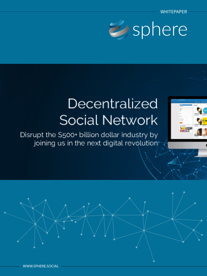

## Decentralized Social Network

Disrupt the \$500+ billion dollar industry by joining us in the next digital revolution

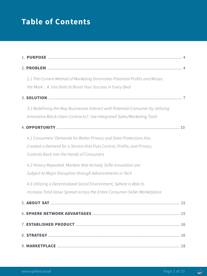## **Table of Contents**

| 2.1 The Current Method of Marketing Diminishes Potential Profits and Misses     |
|---------------------------------------------------------------------------------|
| the Mark4. Use Data to Boost Your Success in Every Deal                         |
|                                                                                 |
| 3.1 Redefining the Way Businesses Interact with Potential Consumer by Utilizing |
| Innovative Block-chain Contracts7. Use Integrated Sales/Marketing Tools         |
| 10                                                                              |
| 4.1 Consumers' Demands for Better Privacy and Data Protections Has              |
| Created a Demand for a Service that Puts Control, Profits, and Privacy          |
| Controls Back into the Hands of Consumers                                       |
| 4.2 History Repeated: Markets that Actively Stifle Innovation are               |
| Subject to Major Disruption through Advancements in Tech                        |
| 4.3 Utilizing a Decentralized Social Environment, Sphere is Able to             |
| Increase Total Value Spread across the Entire Consumer-Seller Marketplace       |
|                                                                                 |
|                                                                                 |
|                                                                                 |
|                                                                                 |
|                                                                                 |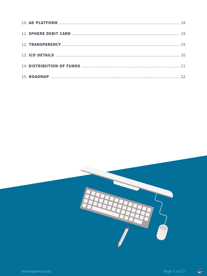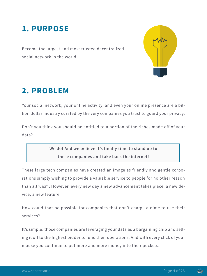## **1. PURPOSE**

Become the largest and most trusted decentralized social network in the world.



## **2. PROBLEM**

Your social network, your online activity, and even your online presence are a billion dollar industry curated by the very companies you trust to guard your privacy.

Don't you think you should be entitled to a portion of the riches made off of your data?

> **We do! And we believe it's finally time to stand up to these companies and take back the internet!**

These large tech companies have created an image as friendly and gentle corporations simply wishing to provide a valuable service to people for no other reason than altruism. However, every new day a new advancement takes place, a new device, a new feature.

How could that be possible for companies that don't charge a dime to use their services?

It's simple: those companies are leveraging your data as a bargaining chip and selling it off to the highest bidder to fund their operations. And with every click of your mouse you continue to put more and more money into their pockets.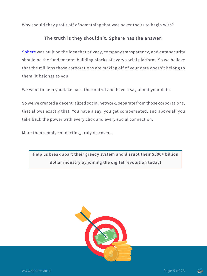Why should they profit off of something that was never theirs to begin with?

#### **The truth is they shouldn't. Sphere has the answer!**

Sphere was built on the idea that privacy, company transparency, and data security should be the fundamental building blocks of every social platform. So we believe that the millions those corporations are making off of your data doesn't belong to them, it belongs to you.

We want to help you take back the control and have a say about your data.

So we've created a decentralized social network, separate from those corporations, that allows exactly that. You have a say, you get compensated, and above all you take back the power with every click and every social connection.

More than simply connecting, truly discover…

**Help us break apart their greedy system and disrupt their \$500+ billion dollar industry by joining the digital revolution today!**



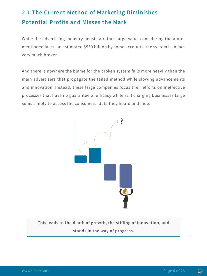## **2.1 The Current Method of Marketing Diminishes Potential Profits and Misses the Mark**

While the advertising industry boasts a rather large value considering the aforementioned facts, an estimated \$550 billion by some accounts, the system is in fact very much broken.

And there is nowhere the blame for the broken system falls more heavily than the main advertisers that propagate the failed method while slowing advancements and innovation. Instead, these large companies focus their efforts on ineffective processes that have no guarantee of efficacy while still charging businesses large sums simply to access the consumers' data they hoard and hide.



**This leads to the death of growth, the stifling of innovation, and stands in the way of progress.**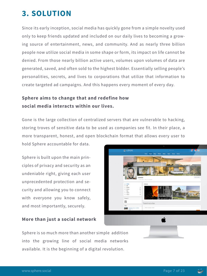## **3. SOLUTION**

Since its early inception, social media has quickly gone from a simple novelty used only to keep friends updated and included on our daily lives to becoming a growing source of entertainment, news, and community. And as nearly three billion people now utilize social media in some shape or form, its impact on life cannot be denied. From those nearly billion active users, volumes upon volumes of data are generated, saved, and often sold to the highest bidder. Essentially selling people's personalities, secrets, and lives to corporations that utilize that information to create targeted ad campaigns. And this happens every moment of every day.

#### **Sphere aims to change that and redefine how social media interacts within our lives.**

Gone is the large collection of centralized servers that are vulnerable to hacking, storing troves of sensitive data to be used as companies see fit. In their place, a more transparent, honest, and open blockchain format that allows every user to hold Sphere accountable for data.

Sphere is built upon the main principles of privacy and security as an undeniable right, giving each user unprecedented protection and security and allowing you to connect with everyone you know safely, and most importantly, securely.

#### **More than just a social network**



Sphere is so much more than another simple addition into the growing line of social media networks available. It is the beginning of a digital revolution.

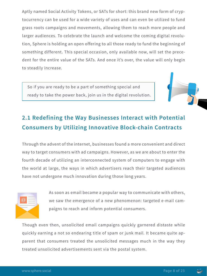Aptly named Social Activity Tokens, or SATs for short: this brand new form of cryptocurrency can be used for a wide variety of uses and can even be utilized to fund grass roots campaigns and movements, allowing them to reach more people and larger audiences. To celebrate the launch and welcome the coming digital revolution, Sphere is holding an open offering to all those ready to fund the beginning of something different. This special occasion, only available now, will set the precedent for the entire value of the SATs. And once it's over, the value will only begin to steadily increase.

So if you are ready to be a part of something special and ready to take the power back, join us in the digital revolution.

## **2.1 Redefining the Way Businesses Interact with Potential Consumers by Utilizing Innovative Block-chain Contracts**

Through the advent of the internet, businesses found a more convenient and direct way to target consumers with ad campaigns. However, as we are about to enter the fourth decade of utilizing an interconnected system of computers to engage with the world at large, the ways in which advertisers reach their targeted audiences have not undergone much innovation during those long years.



As soon as email became a popular way to communicate with others, we saw the emergence of a new phenomenon: targeted e-mail campaigns to reach and inform potential consumers.

Though even then, unsolicited email campaigns quickly garnered distaste while quickly earning a not so endearing title of spam or junk mail. It became quite apparent that consumers treated the unsolicited messages much in the way they treated unsolicited advertisements sent via the postal system.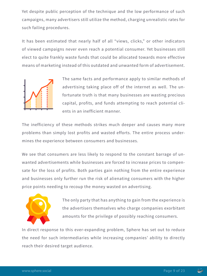Yet despite public perception of the technique and the low performance of such campaigns, many advertisers still utilize the method, charging unrealistic rates for such failing procedures.

It has been estimated that nearly half of all "views, clicks," or other indicators of viewed campaigns never even reach a potential consumer. Yet businesses still elect to quite frankly waste funds that could be allocated towards more effective means of marketing instead of this outdated and unwanted form of advertisement.



The same facts and performance apply to similar methods of advertising taking place off of the internet as well. The unfortunate truth is that many businesses are wasting precious capital, profits, and funds attempting to reach potential clients in an inefficient manner.

The inefficiency of these methods strikes much deeper and causes many more problems than simply lost profits and wasted efforts. The entire process undermines the experience between consumers and businesses.

We see that consumers are less likely to respond to the constant barrage of unwanted advertisements while businesses are forced to increase prices to compensate for the loss of profits. Both parties gain nothing from the entire experience and businesses only further run the risk of alienating consumers with the higher price points needing to recoup the money wasted on advertising.



The only party that has anything to gain from the experience is the advertisers themselves who charge companies exorbitant amounts for the privilege of possibly reaching consumers.

In direct response to this ever-expanding problem, Sphere has set out to reduce the need for such intermediaries while increasing companies' ability to directly reach their desired target audience.

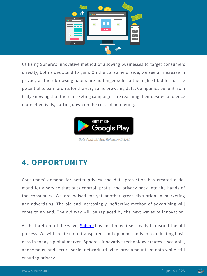

Utilizing Sphere's innovative method of allowing businesses to target consumers directly, both sides stand to gain. On the consumers' side, we see an increase in privacy as their browsing habits are no longer sold to the highest bidder for the potential to earn profits for the very same browsing data. Companies benefit from truly knowing that their marketing campaigns are reaching their desired audience more effectively, cutting down on the cost of marketing.



Beta Android App Release v.2.1.41

## **4. OPPORTUNITY**

Consumers' demand for better privacy and data protection has created a demand for a service that puts control, profit, and privacy back into the hands of the consumers. We are poised for yet another great disruption in marketing and advertising. The old and increasingly ineffective method of advertising will come to an end. The old way will be replaced by the next waves of innovation.

At the forefront of the wave, **Sphere** has positioned itself ready to disrupt the old process. We will create more transparent and open methods for conducting business in today's global market. Sphere's innovative technology creates a scalable, anonymous, and secure social network utilizing large amounts of data while still ensuring privacy.

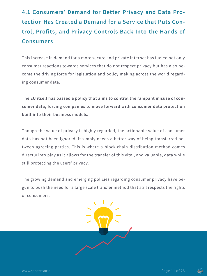## **4.1 Consumers' Demand for Better Privacy and Data Protection Has Created a Demand for a Service that Puts Control, Profits, and Privacy Controls Back Into the Hands of Consumers**

This increase in demand for a more secure and private internet has fueled not only consumer reactions towards services that do not respect privacy but has also become the driving force for legislation and policy making across the world regarding consumer data.

**The EU itself has passed a policy that aims to control the rampant misuse of consumer data, forcing companies to move forward with consumer data protection built into their business models.**

Though the value of privacy is highly regarded, the actionable value of consumer data has not been ignored; it simply needs a better way of being transferred between agreeing parties. This is where a block-chain distribution method comes directly into play as it allows for the transfer of this vital, and valuable, data while still protecting the users' privacy.

The growing demand and emerging policies regarding consumer privacy have begun to push the need for a large scale transfer method that still respects the rights of consumers.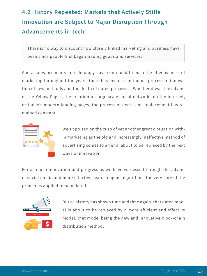## **4.2 History Repeated: Markets that Actively Stifle Innovation are Subject to Major Disruption Through Advancements in Tech**

There is no way to discount how closely linked marketing and business have been since people first began trading goods and services.

And as advancements in technology have continued to push the effectiveness of marketing throughout the years, there has been a continuous process of innovation of new methods and the death of dated processes. Whether it was the advent of the Yellow Pages, the creation of large scale social networks on the internet, or today's modern landing pages, the process of death and replacement has remained constant.



We sit poised on the cusp of yet another great disruption within marketing as the old and increasingly ineffective method of advertising comes to an end, about to be replaced by the next wave of innovation.

For as much innovation and progress as we have witnessed through the advent of social media and more effective search engine algorithms, the very core of the principles applied remain dated.



But as history has shown time and time again, that dated model is about to be replaced by a more efficient and effective model, that model being the new and innovative block-chain distribution method.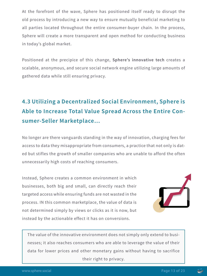At the forefront of the wave, Sphere has positioned itself ready to disrupt the old process by introducing a new way to ensure mutually beneficial marketing to all parties located throughout the entire consumer-buyer chain. In the process, Sphere will create a more transparent and open method for conducting business in today's global market.

Positioned at the precipice of this change, **Sphere's innovative tech** creates a scalable, anonymous, and secure social network engine utilizing large amounts of gathered data while still ensuring privacy.

## **4.3 Utilizing a Decentralized Social Environment, Sphere is Able to Increase Total Value Spread Across the Entire Consumer-Seller Marketplace…**

No longer are there vanguards standing in the way of innovation, charging fees for access to data they misappropriate from consumers, a practice that not only is dated but stifles the growth of smaller companies who are unable to afford the often unnecessarily high costs of reaching consumers.

Instead, Sphere creates a common environment in which businesses, both big and small, can directly reach their targeted access while ensuring funds are not wasted in the process. IN this common marketplace, the value of data is not determined simply by views or clicks as it is now, but instead by the actionable effect it has on conversions.



The value of the innovative environment does not simply only extend to businesses; it also reaches consumers who are able to leverage the value of their data for lower prices and other monetary gains without having to sacrifice their right to privacy.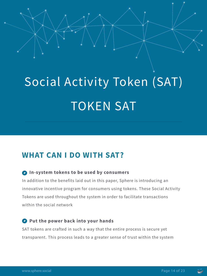# Social Activity Token (SAT) TOKEN SAT

## **WHAT CAN I DO WITH SAT?**

#### **In-system tokens to be used by consumers**

In addition to the benefits laid out in this paper, Sphere is introducing an innovative incentive program for consumers using tokens. These Social Activity Tokens are used throughout the system in order to facilitate transactions within the social network

#### **Put the power back into your hands**

SAT tokens are crafted in such a way that the entire process is secure yet transparent. This process leads to a greater sense of trust within the system

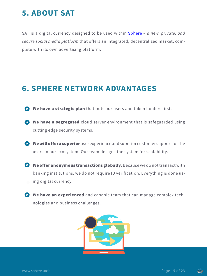## **5. ABOUT SAT**

SAT is a digital currency designed to be used within Sphere – *a new, private, and secure social media platform* that offers an integrated, decentralized market, complete with its own advertising platform.

## **6. SPHERE NETWORK ADVANTAGES**

- We have a strategic plan that puts our users and token holders first.
- E We have a segregated cloud server environment that is safeguarded using cutting edge security systems.
- E We will offer a superior user experience and superior customer support for the users in our ecosystem. Our team designs the system for scalability.
- We offer anonymous transactions globally. Because we donot transact with banking institutions, we do not require ID verification. Everything is done using digital currency.
- We have an experienced and capable team that can manage complex technologies and business challenges.



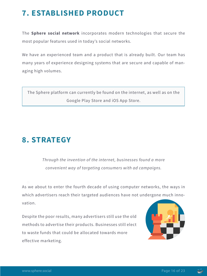## **7. ESTABLISHED PRODUCT**

The **Sphere social network** incorporates modern technologies that secure the most popular features used in today's social networks.

We have an experienced team and a product that is already built. Our team has many years of experience designing systems that are secure and capable of managing high volumes.

The Sphere platform can currently be found on the internet, as well as on the Google Play Store and iOS App Store.

## **8. STRATEGY**

*Through the invention of the internet, businesses found a more convenient way of targeting consumers with ad campaigns.*

As we about to enter the fourth decade of using computer networks, the ways in which advertisers reach their targeted audiences have not undergone much innovation.

Despite the poor results, many advertisers still use the old methods to advertise their products. Businesses still elect to waste funds that could be allocated towards more effective marketing.



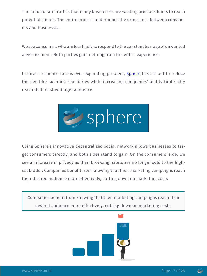The unfortunate truth is that many businesses are wasting precious funds to reach potential clients. The entire process undermines the experience between consumers and businesses.

We see consumers who are less likely to respond to the constant barrage of unwanted advertisement. Both parties gain nothing from the entire experience.

In direct response to this ever expanding problem, **Sphere** has set out to reduce the need for such intermediaries while increasing companies' ability to directly reach their desired target audience.



Using Sphere's innovative decentralized social network allows businesses to target consumers directly, and both sides stand to gain. On the consumers' side, we see an increase in privacy as their browsing habits are no longer sold to the highest bidder. Companies benefit from knowing that their marketing campaigns reach their desired audience more effectively, cutting down on marketing costs

Companies benefit from knowing that their marketing campaigns reach their desired audience more effectively, cutting down on marketing costs.



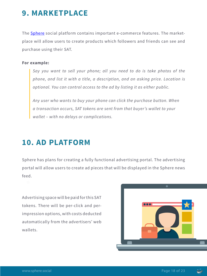## **9. MARKETPLACE**

The **Sphere** social platform contains important e-commerce features. The marketplace will allow users to create products which followers and friends can see and purchase using their SAT.

#### **For example:**

*Say you want to sell your phone; all you need to do is take photos of the phone, and list it with a title, a description, and an asking price. Location is optional. You can control access to the ad by listing it as either public.* 

*Any user who wants to buy your phone can click the purchase button. When a transaction occurs, SAT tokens are sent from that buyer's wallet to your wallet – with no delays or complications.*

## **10. AD PLATFORM**

Sphere has plans for creating a fully functional advertising portal. The advertising portal will allow users to create ad pieces that will be displayed in the Sphere news feed.

Advertising space will be paid for this SAT tokens. There will be per-click and perimpression options, with costs deducted automatically from the advertisers' web wallets.



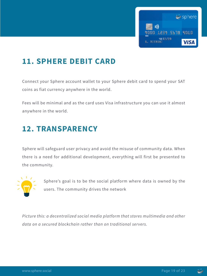

## **11. SPHERE DEBIT CARD**

Connect your Sphere account wallet to your Sphere debit card to spend your SAT coins as fiat currency anywhere in the world.

Fees will be minimal and as the card uses Visa infrastructure you can use it almost anywhere in the world.

## **12. TRANSPARENCY**

Sphere will safeguard user privacy and avoid the misuse of community data. When there is a need for additional development, everything will first be presented to the community.



Sphere's goal is to be the social platform where data is owned by the users. The community drives the network

*Picture this: a decentralized social media platform that stores multimedia and other data on a secured blockchain rather than on traditional servers.*

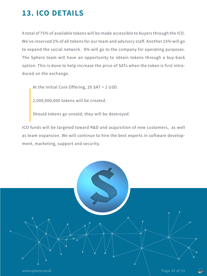## **13. ICO DETAILS**

A total of 75% of available tokens will be made accessible to buyers through the ICO. We've reserved 2% of all tokens for our team and advisory staff. Another 15% will go to expand the social network. 8% will go to the company for operating purposes. The Sphere team will have an opportunity to obtain tokens through a buy-back option. This is done to help increase the price of SATs when the token is first introduced on the exchange.

At the Initial Coin Offering, 20 SAT = 1 USD.

2,000,000,000 tokens will be created.

Should tokens go unsold, they will be destroyed.

ICO funds will be targeted toward R&D and acquisition of new customers, as well as team expansion. We will continue to hire the best experts in software development, marketing, support and security.

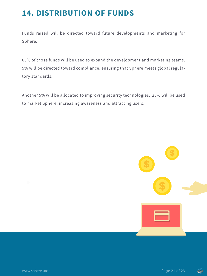## **14. DISTRIBUTION OF FUNDS**

Funds raised will be directed toward future developments and marketing for Sphere.

65% of those funds will be used to expand the development and marketing teams. 5% will be directed toward compliance, ensuring that Sphere meets global regulatory standards.

Another 5% will be allocated to improving security technologies. 25% will be used to market Sphere, increasing awareness and attracting users.



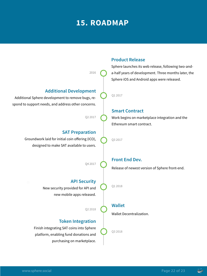## **15. ROADMAP**